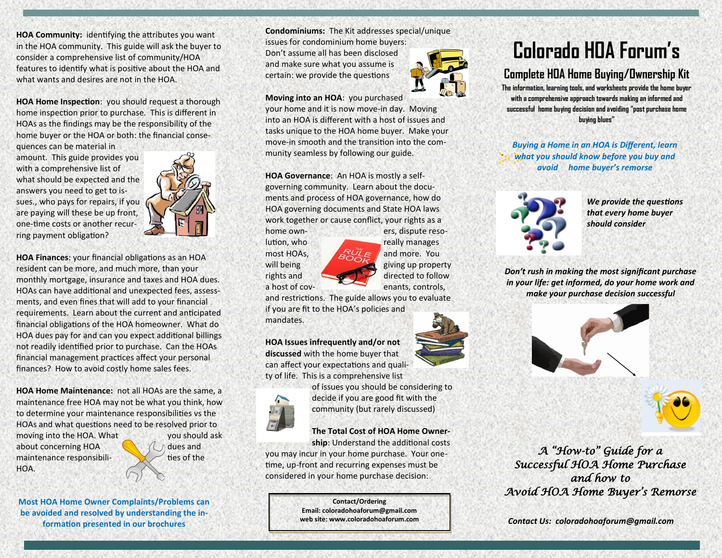**HOA Community:** identifying the attributes you want in the HOA community. This guide will ask the buyer to consider a comprehensive list of community/HOA features to identify what is positive about the HOA and what wants and desires are not in the HOA.

**HOA Home Inspection**: you should request a thorough home inspection prior to purchase. This is different in HOAs as the findings may be the responsibility of the home buyer or the HOA or both: the financial conse-

quences can be material in amount. This guide provides you with a comprehensive list of what should be expected and the answers you need to get to issues., who pays for repairs, if you are paying will these be up front, one-time costs or another recurring payment obligation?



**HOA Finances**: your financial obligations as an HOA resident can be more, and much more, than your monthly mortgage, insurance and taxes and HOA dues. HOAs can have additional and unexpected fees, assessments, and even fines that will add to your financial requirements. Learn about the current and anticipated financial obligations of the HOA homeowner. What do HOA dues pay for and can you expect additional billings not readily identified prior to purchase. Can the HOAs financial management practices affect your personal finances? How to avoid costly home sales fees.

**HOA Home Maintenance:** not all HOAs are the same, a maintenance free HOA may not be what you think, how to determine your maintenance responsibilities vs the HOAs and what questions need to be resolved prior to moving into the HOA. What you should ask about concerning HOA  $\bigcup_{\Lambda}$  dues and maintenance responsibili-  $\mathbb{R}$  ties of the HOA.

**Most HOA Home Owner Complaints/Problems can be avoided and resolved by understanding the information presented in our brochures**

**Condominiums:** The Kit addresses special/unique

issues for condominium home buyers: Don't assume all has been disclosed and make sure what you assume is certain: we provide the questions

#### **Moving into an HOA**: you purchased

your home and it is now move-in day. Moving into an HOA is different with a host of issues and tasks unique to the HOA home buyer. Make your move-in smooth and the transition into the community seamless by following our guide.

**HOA Governance**: An HOA is mostly a selfgoverning community. Learn about the documents and process of HOA governance, how do HOA governing documents and State HOA laws work together or cause conflict, your rights as a

home own-<br>
ers, dispute reso-

lution, who really manages most HOAs,  $\mathbb{R}^{U_L}$  and more. You will being giving up property rights and directed to follow

a host of cov- enants, controls, and restrictions. The guide allows you to evaluate

if you are fit to the HOA's policies and mandates.

**HOA Issues infrequently and/or not discussed** with the home buyer that can affect your expectations and quality of life. This is a comprehensive list



of issues you should be considering to decide if you are good fit with the community (but rarely discussed)

## **The Total Cost of HOA Home Owner-**

**ship**: Understand the additional costs you may incur in your home purchase. Your onetime, up-front and recurring expenses must be considered in your home purchase decision:

> **Contact/Ordering Email: coloradohoaforum@gmail.com**



# **Colorado HOA Forum's**

## **Complete HOA Home Buying/Ownership Kit**

**The information, learning tools, and worksheets provide the home buyer with a comprehensive approach towards making an informed and successful home buying decision and avoiding "post purchase home buying blues"** 

*Buying a Home in an HOA is Different, learn what you should know before you buy and avoid home buyer's remorse*



.

*We provide the questions that every home buyer should consider*

*Don't rush in making the most significant purchase in your life: get informed, do your home work and make your purchase decision successful*





*A "How-to" Guide for a Successful HOA Home Purchase and how to Avoid HOA Home Buyer's Remorse* 

**web site: www.coloradohoaforum.com** *Contact Us: coloradohoaforum@gmail.com*